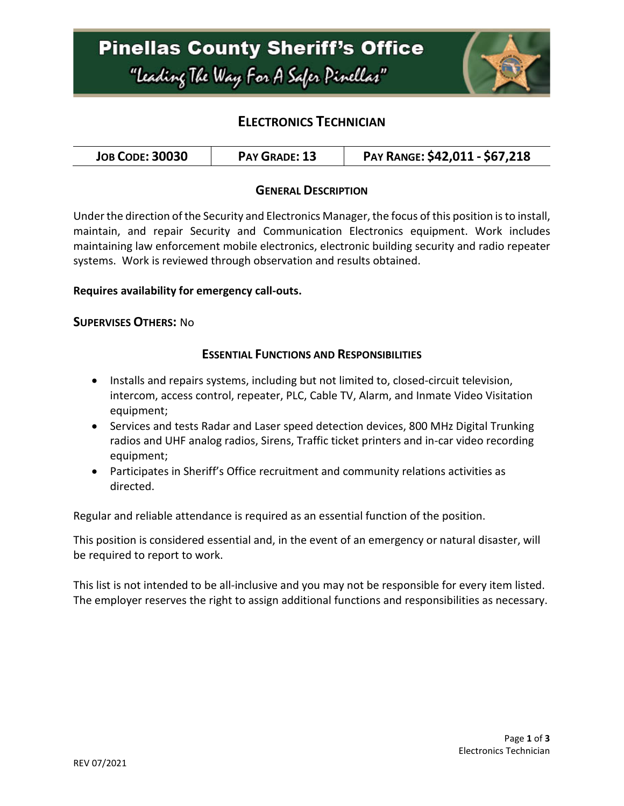

## **ELECTRONICS TECHNICIAN**

### **GENERAL DESCRIPTION**

Under the direction of the Security and Electronics Manager, the focus of this position is to install, maintain, and repair Security and Communication Electronics equipment. Work includes maintaining law enforcement mobile electronics, electronic building security and radio repeater systems. Work is reviewed through observation and results obtained.

#### **Requires availability for emergency call-outs.**

#### **SUPERVISES OTHERS:** No

### **ESSENTIAL FUNCTIONS AND RESPONSIBILITIES**

- Installs and repairs systems, including but not limited to, closed-circuit television, intercom, access control, repeater, PLC, Cable TV, Alarm, and Inmate Video Visitation equipment;
- Services and tests Radar and Laser speed detection devices, 800 MHz Digital Trunking radios and UHF analog radios, Sirens, Traffic ticket printers and in-car video recording equipment;
- Participates in Sheriff's Office recruitment and community relations activities as directed.

Regular and reliable attendance is required as an essential function of the position.

This position is considered essential and, in the event of an emergency or natural disaster, will be required to report to work.

This list is not intended to be all-inclusive and you may not be responsible for every item listed. The employer reserves the right to assign additional functions and responsibilities as necessary.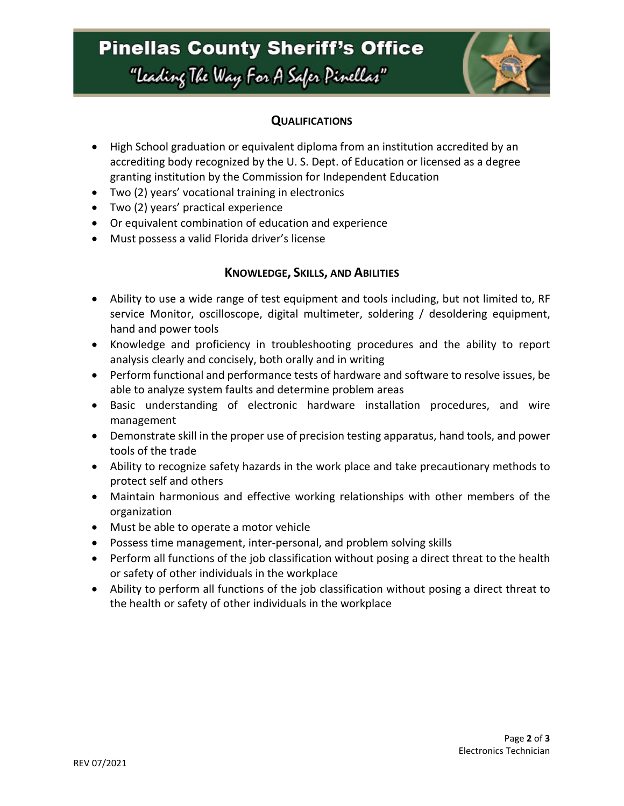# **Pinellas County Sheriff's Office** "leading The Way For A Safer Pinellar"



## **QUALIFICATIONS**

- High School graduation or equivalent diploma from an institution accredited by an accrediting body recognized by the U. S. Dept. of Education or licensed as a degree granting institution by the Commission for Independent Education
- Two (2) years' vocational training in electronics
- Two (2) years' practical experience
- Or equivalent combination of education and experience
- Must possess a valid Florida driver's license

### **KNOWLEDGE, SKILLS, AND ABILITIES**

- Ability to use a wide range of test equipment and tools including, but not limited to, RF service Monitor, oscilloscope, digital multimeter, soldering / desoldering equipment, hand and power tools
- Knowledge and proficiency in troubleshooting procedures and the ability to report analysis clearly and concisely, both orally and in writing
- Perform functional and performance tests of hardware and software to resolve issues, be able to analyze system faults and determine problem areas
- Basic understanding of electronic hardware installation procedures, and wire management
- Demonstrate skill in the proper use of precision testing apparatus, hand tools, and power tools of the trade
- Ability to recognize safety hazards in the work place and take precautionary methods to protect self and others
- Maintain harmonious and effective working relationships with other members of the organization
- Must be able to operate a motor vehicle
- Possess time management, inter-personal, and problem solving skills
- Perform all functions of the job classification without posing a direct threat to the health or safety of other individuals in the workplace
- Ability to perform all functions of the job classification without posing a direct threat to the health or safety of other individuals in the workplace